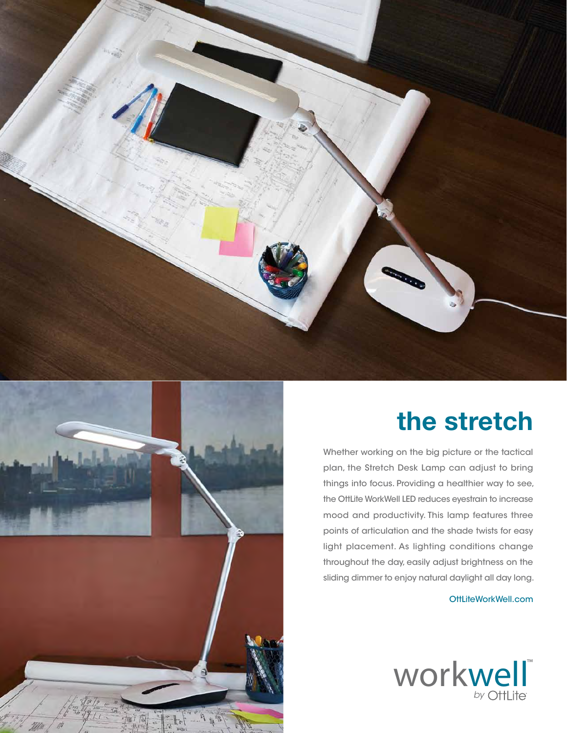



## **the stretch**

Whether working on the big picture or the tactical plan, the Stretch Desk Lamp can adjust to bring things into focus. Providing a healthier way to see, the OttLite WorkWell LED reduces eyestrain to increase mood and productivity. This lamp features three points of articulation and the shade twists for easy light placement. As lighting conditions change throughout the day, easily adjust brightness on the sliding dimmer to enjoy natural daylight all day long.

OttLiteWorkWell.com